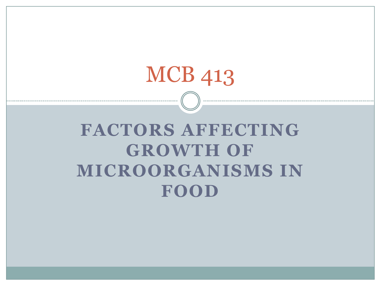# MCB 413

# **FACTORS AFFECTING GROWTH OF MICROORGANISMS IN FOOD**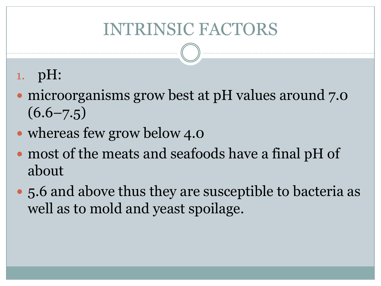#### INTRINSIC FACTORS

#### 1. pH:

- microorganisms grow best at pH values around 7.0  $(6.6 - 7.5)$
- whereas few grow below 4.0
- most of the meats and seafoods have a final pH of about
- 5.6 and above thus they are susceptible to bacteria as well as to mold and yeast spoilage.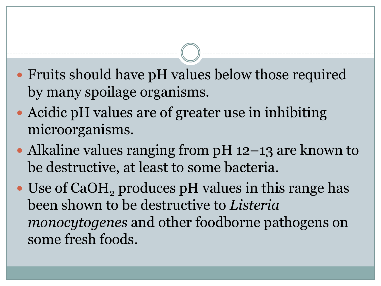- Fruits should have pH values below those required by many spoilage organisms.
- Acidic pH values are of greater use in inhibiting microorganisms.
- Alkaline values ranging from pH 12–13 are known to be destructive, at least to some bacteria.
- Use of CaOH<sub>2</sub> produces pH values in this range has been shown to be destructive to *Listeria monocytogenes* and other foodborne pathogens on some fresh foods.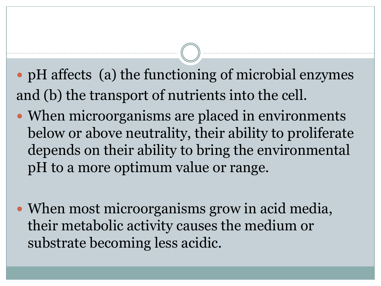- pH affects (a) the functioning of microbial enzymes and (b) the transport of nutrients into the cell.
- When microorganisms are placed in environments below or above neutrality, their ability to proliferate depends on their ability to bring the environmental pH to a more optimum value or range.
- When most microorganisms grow in acid media, their metabolic activity causes the medium or substrate becoming less acidic.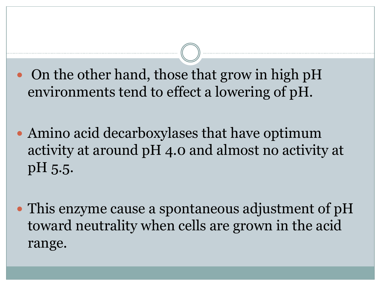- On the other hand, those that grow in high pH environments tend to effect a lowering of pH.
- Amino acid decarboxylases that have optimum activity at around pH 4.0 and almost no activity at pH 5.5.
- This enzyme cause a spontaneous adjustment of pH toward neutrality when cells are grown in the acid range.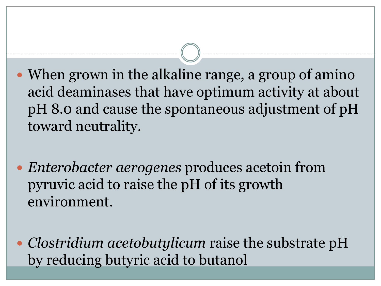- When grown in the alkaline range, a group of amino acid deaminases that have optimum activity at about pH 8.0 and cause the spontaneous adjustment of pH toward neutrality.
- *Enterobacter aerogenes* produces acetoin from pyruvic acid to raise the pH of its growth environment.
- *Clostridium acetobutylicum* raise the substrate pH by reducing butyric acid to butanol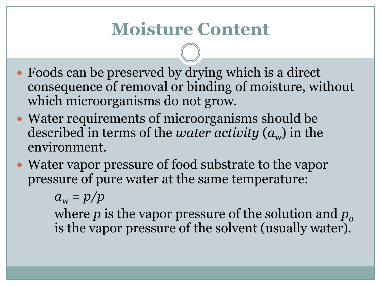## **Moisture Content**

- Foods can be preserved by drying which is a direct consequence of removal or binding of moisture, without which microorganisms do not grow.
- Water requirements of microorganisms should be described in terms of the *water activity*  $(a_{w})$  in the environment.
- Water vapor pressure of food substrate to the vapor pressure of pure water at the same temperature:

 $a_w = p/p$ 

where  $p$  is the vapor pressure of the solution and  $p<sub>o</sub>$ is the vapor pressure of the solvent (usually water).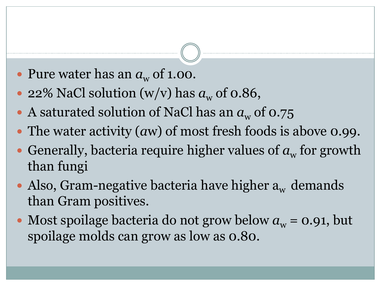- Pure water has an  $a_w$  of 1.00.
- 22% NaCl solution (w/v) has  $a_w$  of 0.86,
- A saturated solution of NaCl has an  $a_w$  of 0.75
- The water activity (*a*w) of most fresh foods is above 0.99.
- Generally, bacteria require higher values of  $a_w$  for growth than fungi
- Also, Gram-negative bacteria have higher  $a_w$  demands than Gram positives.
- Most spoilage bacteria do not grow below  $a_w = 0.91$ , but spoilage molds can grow as low as 0.80.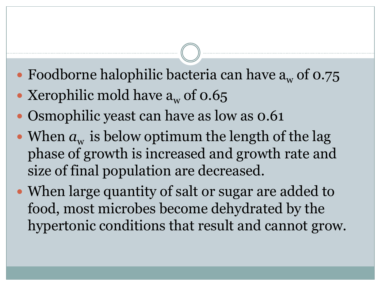- Foodborne halophilic bacteria can have  $a_w$  of 0.75
- Xerophilic mold have  $a_w$  of 0.65
- Osmophilic yeast can have as low as 0.61
- When  $a_w$  is below optimum the length of the lag phase of growth is increased and growth rate and size of final population are decreased.
- When large quantity of salt or sugar are added to food, most microbes become dehydrated by the hypertonic conditions that result and cannot grow.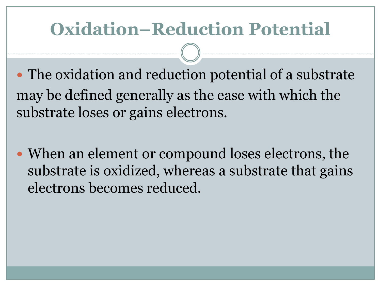# **Oxidation–Reduction Potential**

• The oxidation and reduction potential of a substrate may be defined generally as the ease with which the substrate loses or gains electrons.

• When an element or compound loses electrons, the substrate is oxidized, whereas a substrate that gains electrons becomes reduced.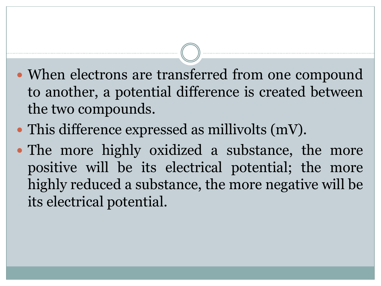- When electrons are transferred from one compound to another, a potential difference is created between the two compounds.
- This difference expressed as millivolts (mV).
- The more highly oxidized a substance, the more positive will be its electrical potential; the more highly reduced a substance, the more negative will be its electrical potential.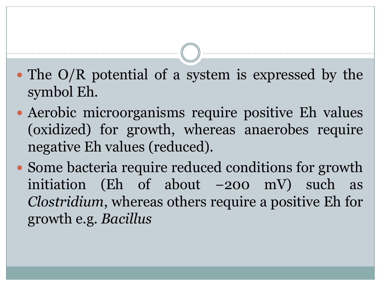- The O/R potential of a system is expressed by the symbol Eh.
- Aerobic microorganisms require positive Eh values (oxidized) for growth, whereas anaerobes require negative Eh values (reduced).
- Some bacteria require reduced conditions for growth initiation (Eh of about  $-200$  mV) such as *Clostridium*, whereas others require a positive Eh for growth e.g. *Bacillus*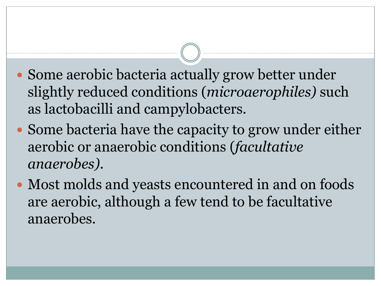- Some aerobic bacteria actually grow better under slightly reduced conditions (*microaerophiles)* such as lactobacilli and campylobacters.
- Some bacteria have the capacity to grow under either aerobic or anaerobic conditions (*facultative anaerobes)*.
- Most molds and yeasts encountered in and on foods are aerobic, although a few tend to be facultative anaerobes.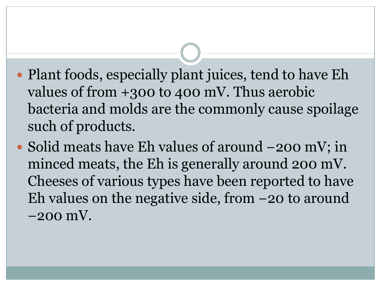- Plant foods, especially plant juices, tend to have Eh values of from +300 to 400 mV. Thus aerobic bacteria and molds are the commonly cause spoilage such of products.
- Solid meats have Eh values of around −200 mV; in minced meats, the Eh is generally around 200 mV. Cheeses of various types have been reported to have Eh values on the negative side, from −20 to around −200 mV.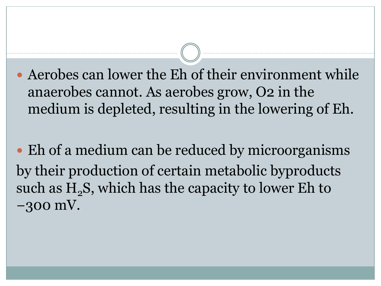Aerobes can lower the Eh of their environment while anaerobes cannot. As aerobes grow, O2 in the medium is depleted, resulting in the lowering of Eh.

• Eh of a medium can be reduced by microorganisms by their production of certain metabolic byproducts such as  $H_2S$ , which has the capacity to lower Eh to −300 mV.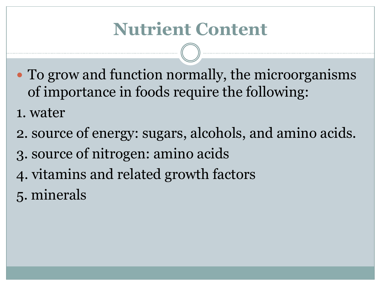- To grow and function normally, the microorganisms of importance in foods require the following:
- 1. water
- 2. source of energy: sugars, alcohols, and amino acids.
- 3. source of nitrogen: amino acids
- 4. vitamins and related growth factors
- 5. minerals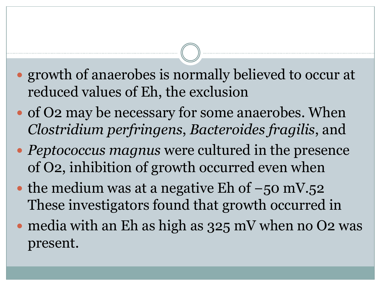- growth of anaerobes is normally believed to occur at reduced values of Eh, the exclusion
- of O2 may be necessary for some anaerobes. When *Clostridium perfringens*, *Bacteroides fragilis*, and
- *Peptococcus magnus* were cultured in the presence of O2, inhibition of growth occurred even when
- the medium was at a negative Eh of  $-50$  mV.52 These investigators found that growth occurred in
- media with an Eh as high as 325 mV when no O2 was present.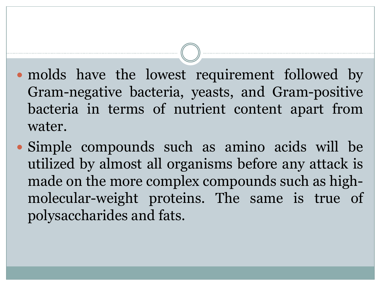- molds have the lowest requirement followed by Gram-negative bacteria, yeasts, and Gram-positive bacteria in terms of nutrient content apart from water.
- Simple compounds such as amino acids will be utilized by almost all organisms before any attack is made on the more complex compounds such as highmolecular-weight proteins. The same is true of polysaccharides and fats.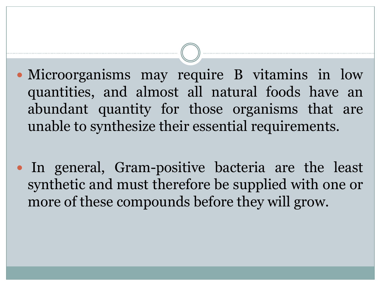- Microorganisms may require B vitamins in low quantities, and almost all natural foods have an abundant quantity for those organisms that are unable to synthesize their essential requirements.
- In general, Gram-positive bacteria are the least synthetic and must therefore be supplied with one or more of these compounds before they will grow.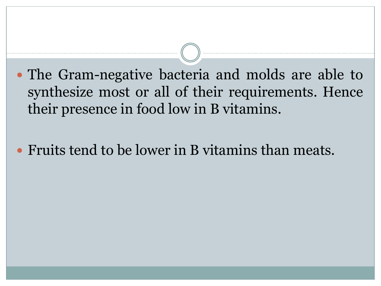- The Gram-negative bacteria and molds are able to synthesize most or all of their requirements. Hence their presence in food low in B vitamins.
- Fruits tend to be lower in B vitamins than meats.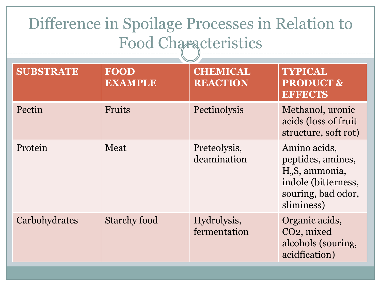## Difference in Spoilage Processes in Relation to Food Characteristics

| <b>SUBSTRATE</b> | <b>FOOD</b><br><b>EXAMPLE</b> | <b>CHEMICAL</b><br><b>REACTION</b> | <b>TYPICAL</b><br><b>PRODUCT &amp;</b><br><b>EFFECTS</b>                                                                   |
|------------------|-------------------------------|------------------------------------|----------------------------------------------------------------------------------------------------------------------------|
| Pectin           | <b>Fruits</b>                 | Pectinolysis                       | Methanol, uronic<br>acids (loss of fruit)<br>structure, soft rot)                                                          |
| Protein          | Meat                          | Preteolysis,<br>deamination        | Amino acids,<br>peptides, amines,<br>H <sub>2</sub> S, ammonia,<br>indole (bitterness,<br>souring, bad odor,<br>sliminess) |
| Carbohydrates    | <b>Starchy food</b>           | Hydrolysis,<br>fermentation        | Organic acids,<br>CO <sub>2</sub> , mixed<br>alcohols (souring,<br>acidfication)                                           |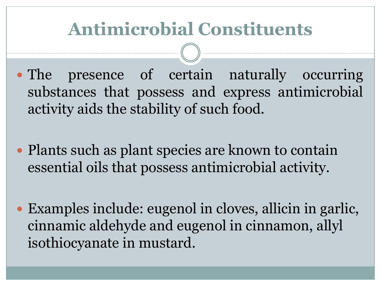# **Antimicrobial Constituents**

- The presence of certain naturally occurring substances that possess and express antimicrobial activity aids the stability of such food.
- Plants such as plant species are known to contain essential oils that possess antimicrobial activity.
- Examples include: eugenol in cloves, allicin in garlic, cinnamic aldehyde and eugenol in cinnamon, allyl isothiocyanate in mustard.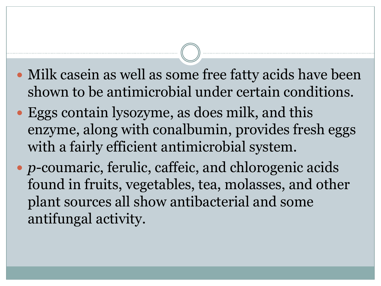- Milk casein as well as some free fatty acids have been shown to be antimicrobial under certain conditions.
- Eggs contain lysozyme, as does milk, and this enzyme, along with conalbumin, provides fresh eggs with a fairly efficient antimicrobial system.
- *p*-coumaric, ferulic, caffeic, and chlorogenic acids found in fruits, vegetables, tea, molasses, and other plant sources all show antibacterial and some antifungal activity.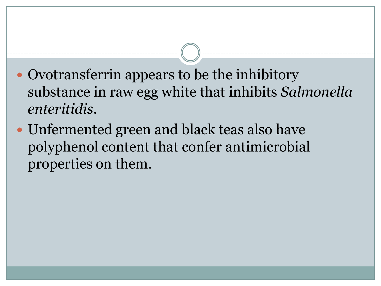- Ovotransferrin appears to be the inhibitory substance in raw egg white that inhibits *Salmonella enteritidis*.
- Unfermented green and black teas also have polyphenol content that confer antimicrobial properties on them.